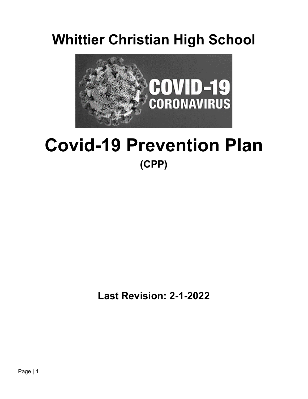# **Whittier Christian High School**



# **Covid-19 Prevention Plan (CPP)**

**Last Revision: 2-1-2022**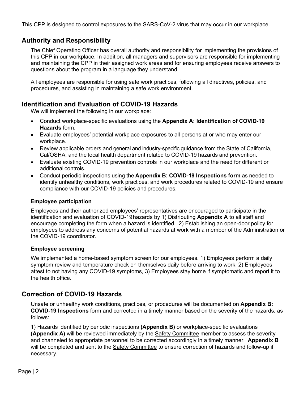This CPP is designed to control exposures to the SARS-CoV-2 virus that may occur in our workplace.

## **Authority and Responsibility**

The Chief Operating Officer has overall authority and responsibility for implementing the provisions of this CPP in our workplace. In addition, all managers and supervisors are responsible for implementing and maintaining the CPP in their assigned work areas and for ensuring employees receive answers to questions about the program in a language they understand.

All employees are responsible for using safe work practices, following all directives, policies, and procedures, and assisting in maintaining a safe work environment.

## **Identification and Evaluation of COVID-19 Hazards**

We will implement the following in our workplace:

- Conduct workplace-specific evaluations using the **Appendix A: Identification of COVID-19 Hazards** form.
- Evaluate employees' potential workplace exposures to all persons at or who may enter our workplace.
- Review applicable orders and general and industry-specific guidance from the State of California, Cal/OSHA, and the local health department related to COVID-19 hazards and prevention.
- Evaluate existing COVID-19 prevention controls in our workplace and the need for different or additional controls.
- Conduct periodic inspections using the **Appendix B: COVID-19 Inspections form** as needed to identify unhealthy conditions, work practices, and work procedures related to COVID-19 and ensure compliance with our COVID-19 policies and procedures.

#### **Employee participation**

Employees and their authorized employees' representatives are encouraged to participate in the identification and evaluation of COVID-19hazards by 1) Distributing **Appendix A** to all staff and encourage completing the form when a hazard is identified. 2) Establishing an open-door policy for employees to address any concerns of potential hazards at work with a member of the Administration or the COVID-19 coordinator.

#### **Employee screening**

We implemented a home-based symptom screen for our employees. 1) Employees perform a daily symptom review and temperature check on themselves daily before arriving to work, 2) Employees attest to not having any COVID-19 symptoms, 3) Employees stay home if symptomatic and report it to the health office.

## **Correction of COVID-19 Hazards**

Unsafe or unhealthy work conditions, practices, or procedures will be documented on **Appendix B: COVID-19 Inspections** form and corrected in a timely manner based on the severity of the hazards, as follows:

**1**) Hazards identified by periodic inspections **(Appendix B)** or workplace-specific evaluations **(Appendix A)** will be reviewed immediately by the Safety Committee member to assess the severity and channeled to appropriate personnel to be corrected accordingly in a timely manner. **Appendix B** will be completed and sent to the Safety Committee to ensure correction of hazards and follow-up if necessary.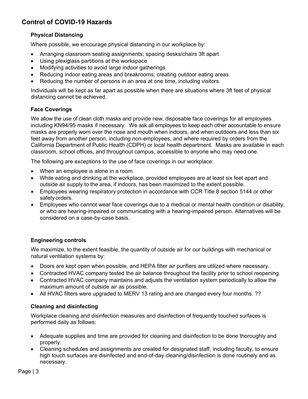## **Control of COVID-19 Hazards**

## **Physical Distancing**

Where possible, we encourage physical distancing in our workplace by:

- Arranging classroom seating assignments; spacing desks/chairs 3ft apart
- Using plexiglass partitions at the workspace
- Modifying activities to avoid large indoor gatherings
- Reducing indoor eating areas and breakrooms; creating outdoor eating areas
- Reducing the number of persons in an area at one time, including visitors.

Individuals will be kept as far apart as possible when there are situations where 3ft feet of physical distancing cannot be achieved.

#### **Face Coverings**

We allow the use of clean cloth masks and provide new, disposable face coverings for all employees including KN94/95 masks if necessary. We ask all employees to keep each other accountable to ensure masks are properly worn over the nose and mouth when indoors, and when outdoors and less than six feet away from another person, including non-employees, and where required by orders from the California Department of Public Health (CDPH) or local health department. Masks are available in each classroom, school offices, and throughout campus, accessible to anyone who may need one.

The following are exceptions to the use of face coverings in our workplace:

- When an employee is alone in a room.
- While eating and drinking at the workplace, provided employees are at least six feet apart and outside air supply to the area, if indoors, has been maximized to the extent possible.
- Employees wearing respiratory protection in accordance with CCR Title 8 section 5144 or other safety orders.
- Employees who cannot wear face coverings due to a medical or mental health condition or disability, or who are hearing-impaired or communicating with a hearing-impaired person. Alternatives will be considered on a case-by-case basis.

#### **Engineering controls**

We maximize, to the extent feasible, the quantity of outside air for our buildings with mechanical or natural ventilation systems by:

- Doors are kept open when possible, and HEPA filter air purifiers are utilized where necessary.
- Contracted HVAC company tested the air balance throughout the facility prior to school reopening.
- Contracted HVAC company maintains and adjusts the ventilation system periodically to allow the maximum amount of outside air as possible.
- All HVAC filters were upgraded to MERV 13 rating and are changed every four months. ??

#### **Cleaning and disinfecting**

Workplace cleaning and disinfection measures and disinfection of frequently touched surfaces is performed daily as follows:

- Adequate supplies and time are provided for cleaning and disinfection to be done thoroughly and properly.
- Cleaning schedules and assignments are created for designated staff, including faculty, to ensure high touch surfaces are disinfected and end-of-day cleaning/disinfection is done routinely and as necessary.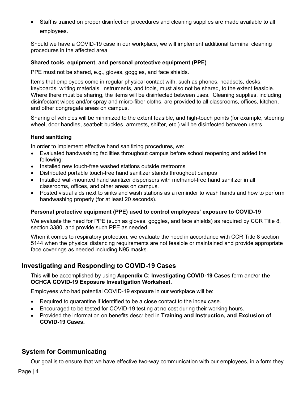• Staff is trained on proper disinfection procedures and cleaning supplies are made available to all employees.

Should we have a COVID-19 case in our workplace, we will implement additional terminal cleaning procedures in the affected area

#### **Shared tools, equipment, and personal protective equipment (PPE)**

PPE must not be shared, e.g., gloves, goggles, and face shields.

Items that employees come in regular physical contact with, such as phones, headsets, desks, keyboards, writing materials, instruments, and tools, must also not be shared, to the extent feasible. Where there must be sharing, the items will be disinfected between uses. Cleaning supplies, including disinfectant wipes and/or spray and micro-fiber cloths, are provided to all classrooms, offices, kitchen, and other congregate areas on campus.

Sharing of vehicles will be minimized to the extent feasible, and high-touch points (for example, steering wheel, door handles, seatbelt buckles, armrests, shifter, etc.) will be disinfected between users

#### **Hand sanitizing**

In order to implement effective hand sanitizing procedures, we:

- Evaluated handwashing facilities throughout campus before school reopening and added the following:
- Installed new touch-free washed stations outside restrooms
- Distributed portable touch-free hand sanitizer stands throughout campus
- Installed wall-mounted hand sanitizer dispensers with methanol-free hand sanitizer in all classrooms, offices, and other areas on campus.
- Posted visual aids next to sinks and wash stations as a reminder to wash hands and how to perform handwashing properly (for at least 20 seconds).

#### **Personal protective equipment (PPE) used to control employees' exposure to COVID-19**

We evaluate the need for PPE (such as gloves, goggles, and face shields) as required by CCR Title 8, section 3380, and provide such PPE as needed.

When it comes to respiratory protection, we evaluate the need in accordance with CCR Title 8 section 5144 when the physical distancing requirements are not feasible or maintained and provide appropriate face coverings as needed including N95 masks.

## **Investigating and Responding to COVID-19 Cases**

This will be accomplished by using **Appendix C: Investigating COVID-19 Cases** form and/or **the OCHCA COVID-19 Exposure Investigation Worksheet.** 

Employees who had potential COVID-19 exposure in our workplace will be:

- Required to quarantine if identified to be a close contact to the index case.
- Encouraged to be tested for COVID-19 testing at no cost during their working hours.
- Provided the information on benefits described in **Training and Instruction, and Exclusion of COVID-19 Cases.**

## **System for Communicating**

Our goal is to ensure that we have effective two-way communication with our employees, in a form they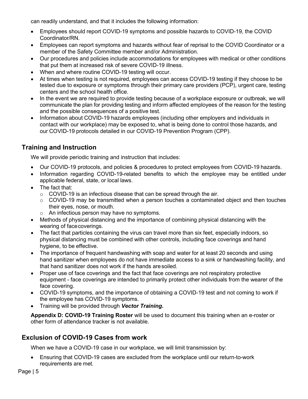can readily understand, and that it includes the following information:

- Employees should report COVID-19 symptoms and possible hazards to COVID-19, the COVID Coordinator/RN.
- Employees can report symptoms and hazards without fear of reprisal to the COVID Coordinator or a member of the Safety Committee member and/or Administration.
- Our procedures and policies include accommodations for employees with medical or other conditions that put them at increased risk of severe COVID-19 illness.
- When and where routine COVID-19 testing will occur.
- At times when testing is not required, employees can access COVID-19 testing if they choose to be tested due to exposure or symptoms through their primary care providers (PCP), urgent care, testing centers and the school health office.
- In the event we are required to provide testing because of a workplace exposure or outbreak, we will communicate the plan for providing testing and inform affected employees of the reason for the testing and the possible consequences of a positive test.
- Information about COVID-19 hazards employees (including other employers and individuals in contact with our workplace) may be exposed to, what is being done to control those hazards, and our COVID-19 protocols detailed in our COVID-19 Prevention Program (CPP).

## **Training and Instruction**

We will provide periodic training and instruction that includes:

- Our COVID-19 protocols, and policies & procedures to protect employees from COVID-19 hazards.
- Information regarding COVID-19-related benefits to which the employee may be entitled under applicable federal, state, or local laws.
- The fact that:
	- $\circ$  COVID-19 is an infectious disease that can be spread through the air.
	- $\circ$  COVID-19 may be transmitted when a person touches a contaminated object and then touches their eyes, nose, or mouth.
	- o An infectious person may have no symptoms.
- Methods of physical distancing and the importance of combining physical distancing with the wearing of facecoverings.
- The fact that particles containing the virus can travel more than six feet, especially indoors, so physical distancing must be combined with other controls, including face coverings and hand hygiene, to be effective.
- The importance of frequent handwashing with soap and water for at least 20 seconds and using hand sanitizer when employees do not have immediate access to a sink or handwashing facility, and that hand sanitizer does not work if the hands aresoiled.
- Proper use of face coverings and the fact that face coverings are not respiratory protective equipment - face coverings are intended to primarily protect other individuals from the wearer of the face covering.
- COVID-19 symptoms, and the importance of obtaining a COVID-19 test and not coming to work if the employee has COVID-19 symptoms.
- Training will be provided through *Vector Training***.**

**Appendix D: COVID-19 Training Roster** will be used to document this training when an e-roster or other form of attendance tracker is not available.

## **Exclusion of COVID-19 Cases from work**

When we have a COVID-19 case in our workplace, we will limit transmission by:

• Ensuring that COVID-19 cases are excluded from the workplace until our return-to-work requirements are met.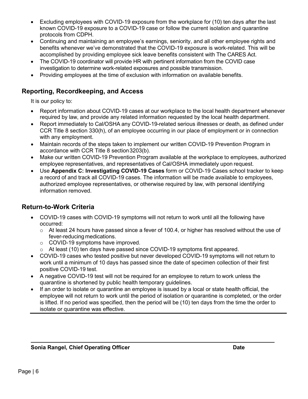- Excluding employees with COVID-19 exposure from the workplace for (10) ten days after the last known COVID-19 exposure to a COVID-19 case or follow the current isolation and quarantine protocols from CDPH.
- Continuing and maintaining an employee's earnings, seniority, and all other employee rights and benefits whenever we've demonstrated that the COVID-19 exposure is work-related. This will be accomplished by providing employee sick leave benefits consistent with The CARES Act.
- The COVID-19 coordinator will provide HR with pertinent information from the COVID case investigation to determine work-related exposures and possible transmission.
- Providing employees at the time of exclusion with information on available benefits.

## **Reporting, Recordkeeping, and Access**

It is our policy to:

- Report information about COVID-19 cases at our workplace to the local health department whenever required by law, and provide any related information requested by the local health department.
- Report immediately to Cal/OSHA any COVID-19-related serious illnesses or death, as defined under CCR Title 8 section 330(h), of an employee occurring in our place of employment or in connection with any employment.
- Maintain records of the steps taken to implement our written COVID-19 Prevention Program in accordance with CCR Title 8 section3203(b).
- Make our written COVID-19 Prevention Program available at the workplace to employees, authorized employee representatives, and representatives of Cal/OSHA immediately upon request.
- Use **Appendix C: Investigating COVID-19 Cases** form or COVID-19 Cases school tracker to keep a record of and track all COVID-19 cases. The information will be made available to employees, authorized employee representatives, or otherwise required by law, with personal identifying information removed.

## **Return-to-Work Criteria**

- COVID-19 cases with COVID-19 symptoms will not return to work until all the following have occurred:
	- $\circ$  At least 24 hours have passed since a fever of 100.4, or higher has resolved without the use of fever-reducing medications.
	- o COVID-19 symptoms have improved.
	- o At least (10) ten days have passed since COVID-19 symptoms first appeared.
- COVID-19 cases who tested positive but never developed COVID-19 symptoms will not return to work until a minimum of 10 days has passed since the date of specimen collection of their first positive COVID-19 test.
- A negative COVID-19 test will not be required for an employee to return to work unless the quarantine is shortened by public health temporary guidelines.
- If an order to isolate or quarantine an employee is issued by a local or state health official, the employee will not return to work until the period of isolation or quarantine is completed, or the order is lifted. If no period was specified, then the period will be (10) ten days from the time the order to isolate or quarantine was effective.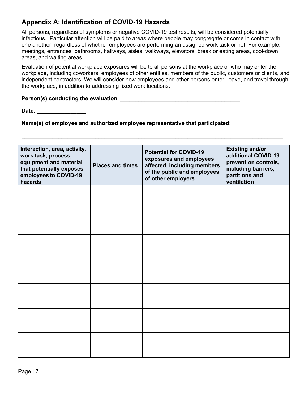## **Appendix A: Identification of COVID-19 Hazards**

All persons, regardless of symptoms or negative COVID-19 test results, will be considered potentially infectious. Particular attention will be paid to areas where people may congregate or come in contact with one another, regardless of whether employees are performing an assigned work task or not. For example, meetings, entrances, bathrooms, hallways, aisles, walkways, elevators, break or eating areas, cool-down areas, and waiting areas.

Evaluation of potential workplace exposures will be to all persons at the workplace or who may enter the workplace, including coworkers, employees of other entities, members of the public, customers or clients, and independent contractors. We will consider how employees and other persons enter, leave, and travel through the workplace, in addition to addressing fixed work locations.

**\_\_\_\_\_\_\_\_\_\_\_\_\_\_\_\_\_\_\_\_\_\_\_\_\_\_\_\_\_\_\_\_\_\_\_\_\_\_\_\_\_\_\_\_\_\_\_\_\_\_\_\_\_\_\_\_\_\_\_\_\_\_\_\_\_\_\_\_\_\_\_\_\_\_\_\_\_\_\_\_\_\_\_\_\_**

#### **Person(s) conducting the evaluation**: **\_\_\_\_\_\_\_\_\_\_\_\_\_\_\_\_\_\_\_\_\_\_\_\_\_\_\_\_\_\_\_\_\_\_\_\_\_\_\_**

**Date**: **\_\_\_\_\_\_\_\_\_\_\_\_\_\_\_\_**

**Name(s) of employee and authorized employee representative that participated**:

| Interaction, area, activity,<br>work task, process,<br>equipment and material<br>that potentially exposes<br>employees to COVID-19<br>hazards | <b>Places and times</b> | <b>Potential for COVID-19</b><br>exposures and employees<br>affected, including members<br>of the public and employees<br>of other employers | <b>Existing and/or</b><br>additional COVID-19<br>prevention controls,<br>including barriers,<br>partitions and<br>ventilation |
|-----------------------------------------------------------------------------------------------------------------------------------------------|-------------------------|----------------------------------------------------------------------------------------------------------------------------------------------|-------------------------------------------------------------------------------------------------------------------------------|
|                                                                                                                                               |                         |                                                                                                                                              |                                                                                                                               |
|                                                                                                                                               |                         |                                                                                                                                              |                                                                                                                               |
|                                                                                                                                               |                         |                                                                                                                                              |                                                                                                                               |
|                                                                                                                                               |                         |                                                                                                                                              |                                                                                                                               |
|                                                                                                                                               |                         |                                                                                                                                              |                                                                                                                               |
|                                                                                                                                               |                         |                                                                                                                                              |                                                                                                                               |
|                                                                                                                                               |                         |                                                                                                                                              |                                                                                                                               |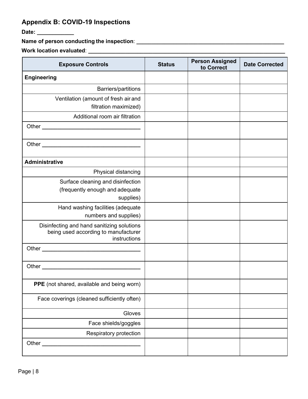## **Appendix B: COVID-19 Inspections**

**Date: \_\_\_\_\_\_\_\_\_\_\_\_**

**Name of person conducting the inspection**: **\_\_\_\_\_\_\_\_\_\_\_\_\_\_\_\_\_\_\_\_\_\_\_\_\_\_\_\_\_\_\_\_\_\_\_\_\_\_\_\_\_\_\_\_\_\_\_\_**

**Work location evaluated**: **\_\_\_\_\_\_\_\_\_\_\_\_\_\_\_\_\_\_\_\_\_\_\_\_\_\_\_\_\_\_\_\_\_\_\_\_\_\_\_\_\_\_\_\_\_\_\_\_\_\_\_\_\_\_\_\_\_\_\_\_\_\_\_\_**

| <b>Exposure Controls</b>                                                                           | <b>Status</b> | <b>Person Assigned</b><br>to Correct | <b>Date Corrected</b> |
|----------------------------------------------------------------------------------------------------|---------------|--------------------------------------|-----------------------|
| <b>Engineering</b>                                                                                 |               |                                      |                       |
| <b>Barriers/partitions</b>                                                                         |               |                                      |                       |
| Ventilation (amount of fresh air and<br>filtration maximized)                                      |               |                                      |                       |
| Additional room air filtration                                                                     |               |                                      |                       |
|                                                                                                    |               |                                      |                       |
|                                                                                                    |               |                                      |                       |
| Administrative                                                                                     |               |                                      |                       |
| Physical distancing                                                                                |               |                                      |                       |
| Surface cleaning and disinfection<br>(frequently enough and adequate<br>supplies)                  |               |                                      |                       |
| Hand washing facilities (adequate<br>numbers and supplies)                                         |               |                                      |                       |
| Disinfecting and hand sanitizing solutions<br>being used according to manufacturer<br>instructions |               |                                      |                       |
|                                                                                                    |               |                                      |                       |
|                                                                                                    |               |                                      |                       |
| PPE (not shared, available and being worn)                                                         |               |                                      |                       |
| Face coverings (cleaned sufficiently often)                                                        |               |                                      |                       |
| Gloves                                                                                             |               |                                      |                       |
| Face shields/goggles                                                                               |               |                                      |                       |
| Respiratory protection                                                                             |               |                                      |                       |
| Other_                                                                                             |               |                                      |                       |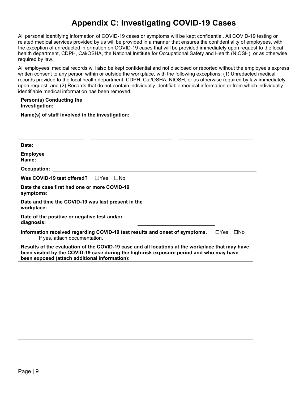# **Appendix C: Investigating COVID-19 Cases**

All personal identifying information of COVID-19 cases or symptoms will be kept confidential. All COVID-19 testing or related medical services provided by us will be provided in a manner that ensures the confidentiality of employees, with the exception of unredacted information on COVID-19 cases that will be provided immediately upon request to the local health department, CDPH, Cal/OSHA, the National Institute for Occupational Safety and Health (NIOSH), or as otherwise required by law.

All employees' medical records will also be kept confidential and not disclosed or reported without the employee's express written consent to any person within or outside the workplace, with the following exceptions: (1) Unredacted medical records provided to the local health department, CDPH, Cal/OSHA, NIOSH, or as otherwise required by law immediately upon request; and (2) Records that do not contain individually identifiable medical information or from which individually identifiable medical information has been removed.

#### **Person(s) Conducting the Investigation:**

| Name(s) of staff involved in the investigation:                                                                                                                                                                                             |
|---------------------------------------------------------------------------------------------------------------------------------------------------------------------------------------------------------------------------------------------|
|                                                                                                                                                                                                                                             |
|                                                                                                                                                                                                                                             |
|                                                                                                                                                                                                                                             |
| <b>Employee</b><br>Name:                                                                                                                                                                                                                    |
| <b>Occupation:</b>                                                                                                                                                                                                                          |
| Was COVID-19 test offered? $\Box$ Yes $\Box$ No                                                                                                                                                                                             |
| Date the case first had one or more COVID-19<br>symptoms:                                                                                                                                                                                   |
| Date and time the COVID-19 was last present in the<br>workplace:                                                                                                                                                                            |
| Date of the positive or negative test and/or<br>diagnosis:                                                                                                                                                                                  |
| Information received regarding COVID-19 test results and onset of symptoms.<br>$\Box$ Yes<br>$\square$ No<br>If yes, attach documentation.                                                                                                  |
| Results of the evaluation of the COVID-19 case and all locations at the workplace that may have<br>been visited by the COVID-19 case during the high-risk exposure period and who may have<br>been exposed (attach additional information): |
|                                                                                                                                                                                                                                             |
|                                                                                                                                                                                                                                             |
|                                                                                                                                                                                                                                             |
|                                                                                                                                                                                                                                             |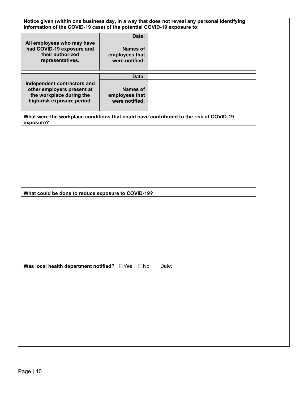| Notice given (within one business day, in a way that does not reveal any personal identifying<br>information of the COVID-19 case) of the potential COVID-19 exposure to: |                                                     |                                                                                        |  |  |
|---------------------------------------------------------------------------------------------------------------------------------------------------------------------------|-----------------------------------------------------|----------------------------------------------------------------------------------------|--|--|
|                                                                                                                                                                           | Date:                                               |                                                                                        |  |  |
| All employees who may have<br>had COVID-19 exposure and<br>their authorized<br>representatives.                                                                           | <b>Names of</b><br>employees that<br>were notified: |                                                                                        |  |  |
|                                                                                                                                                                           | Date:                                               |                                                                                        |  |  |
| Independent contractors and<br>other employers present at<br>the workplace during the<br>high-risk exposure period.                                                       | <b>Names of</b><br>employees that<br>were notified: |                                                                                        |  |  |
| exposure?                                                                                                                                                                 |                                                     | What were the workplace conditions that could have contributed to the risk of COVID-19 |  |  |
| What could be done to reduce exposure to COVID-19?                                                                                                                        |                                                     |                                                                                        |  |  |
| Was local health department notified? DYes DNo                                                                                                                            |                                                     | Date:                                                                                  |  |  |
|                                                                                                                                                                           |                                                     |                                                                                        |  |  |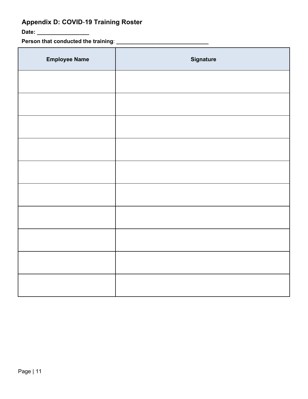## **Appendix D: COVID**-**19 Training Roster**

**Date: \_\_\_\_\_\_\_\_\_\_\_\_\_\_\_\_\_**

**Person that conducted the training**: **\_\_\_\_\_\_\_\_\_\_\_\_\_\_\_\_\_\_\_\_\_\_\_\_\_\_\_\_\_\_**

| <b>Employee Name</b> | <b>Signature</b> |
|----------------------|------------------|
|                      |                  |
|                      |                  |
|                      |                  |
|                      |                  |
|                      |                  |
|                      |                  |
|                      |                  |
|                      |                  |
|                      |                  |
|                      |                  |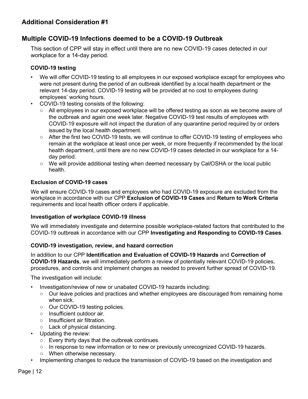## **Multiple COVID-19 Infections deemed to be a COVID-19 Outbreak**

This section of CPP will stay in effect until there are no new COVID-19 cases detected in our workplace for a 14-day period.

## **COVID-19 testing**

- We will offer COVID-19 testing to all employees in our exposed workplace except for employees who were not present during the period of an outbreak identified by a local health department or the relevant 14-day period. COVID-19 testing will be provided at no cost to employees during employees' working hours.
- COVID-19 testing consists of the following:
	- All employees in our exposed workplace will be offered testing as soon as we become aware of the outbreak and again one week later. Negative COVID-19 test results of employees with COVID-19 exposure will not impact the duration of any quarantine period required by or orders issued by the local health department.
	- After the first two COVID-19 tests, we will continue to offer COVID-19 testing of employees who remain at the workplace at least once per week, or more frequently if recommended by the local health department, until there are no new COVID-19 cases detected in our workplace for a 14 day period.
	- We will provide additional testing when deemed necessary by Cal/OSHA or the local public health.

## **Exclusion of COVID-19 cases**

We will ensure COVID-19 cases and employees who had COVID-19 exposure are excluded from the workplace in accordance with our CPP **Exclusion of COVID-19 Cases** and **Return to Work Criteria**  requirements and local health officer orders if applicable.

## **Investigation of workplace COVID-19 illness**

We will immediately investigate and determine possible workplace-related factors that contributed to the COVID-19 outbreak in accordance with our CPP **Investigating and Responding to COVID-19 Cases**.

## **COVID-19 investigation, review, and hazard correction**

In addition to our CPP **Identification and Evaluation of COVID-19 Hazards** and **Correction of COVID-19 Hazards**, we will immediately perform a review of potentially relevant COVID-19 policies, procedures, and controls and implement changes as needed to prevent further spread of COVID-19.

The investigation will include:

- Investigation/review of new or unabated COVID-19 hazards including:
	- Our leave policies and practices and whether employees are discouraged from remaining home when sick.
	- Our COVID-19 testing policies.
	- Insufficient outdoor air.
	- Insufficient air filtration.
	- Lack of physical distancing.
- Updating the review:
	- Every thirty days that the outbreak continues.
	- In response to new information or to new or previously unrecognized COVID-19 hazards.
	- When otherwise necessary.
- Implementing changes to reduce the transmission of COVID-19 based on the investigation and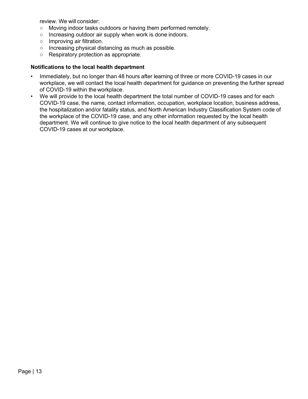review. We will consider:

- Moving indoor tasks outdoors or having them performed remotely.
- Increasing outdoor air supply when work is done indoors.
- Improving air filtration.
- Increasing physical distancing as much as possible.
- Respiratory protection as appropriate.

#### **Notifications to the local health department**

- Immediately, but no longer than 48 hours after learning of three or more COVID-19 cases in our workplace, we will contact the local health department for guidance on preventing the further spread of COVID-19 within the workplace.
- We will provide to the local health department the total number of COVID-19 cases and for each COVID-19 case, the name, contact information, occupation, workplace location, business address, the hospitalization and/or fatality status, and North American Industry Classification System code of the workplace of the COVID-19 case, and any other information requested by the local health department. We will continue to give notice to the local health department of any subsequent COVID-19 cases at our workplace.